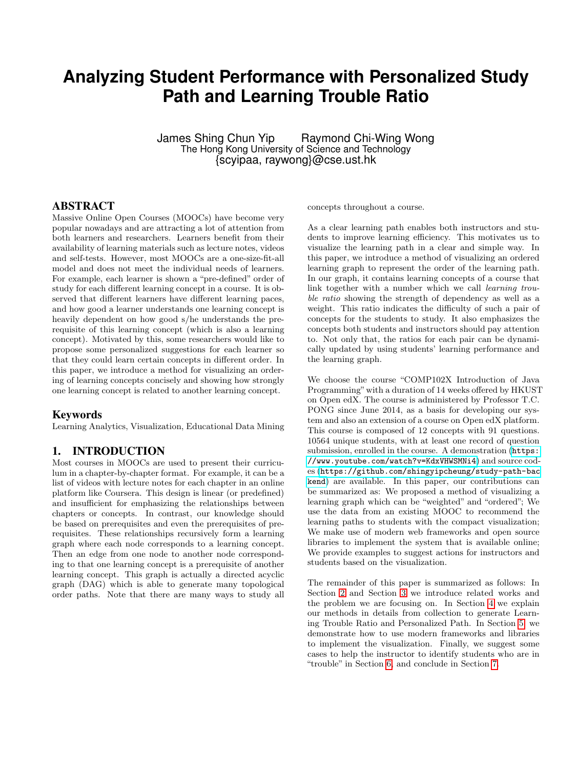# **Analyzing Student Performance with Personalized Study Path and Learning Trouble Ratio**

James Shing Chun Yip Raymond Chi-Wing Wong The Hong Kong University of Science and Technology {scyipaa, raywong}@cse.ust.hk

### ABSTRACT

Massive Online Open Courses (MOOCs) have become very popular nowadays and are attracting a lot of attention from both learners and researchers. Learners benefit from their availability of learning materials such as lecture notes, videos and self-tests. However, most MOOCs are a one-size-fit-all model and does not meet the individual needs of learners. For example, each learner is shown a "pre-defined" order of study for each different learning concept in a course. It is observed that different learners have different learning paces, and how good a learner understands one learning concept is heavily dependent on how good s/he understands the prerequisite of this learning concept (which is also a learning concept). Motivated by this, some researchers would like to propose some personalized suggestions for each learner so that they could learn certain concepts in different order. In this paper, we introduce a method for visualizing an ordering of learning concepts concisely and showing how strongly one learning concept is related to another learning concept.

### Keywords

Learning Analytics, Visualization, Educational Data Mining

### 1. INTRODUCTION

Most courses in MOOCs are used to present their curriculum in a chapter-by-chapter format. For example, it can be a list of videos with lecture notes for each chapter in an online platform like Coursera. This design is linear (or predefined) and insufficient for emphasizing the relationships between chapters or concepts. In contrast, our knowledge should be based on prerequisites and even the prerequisites of prerequisites. These relationships recursively form a learning graph where each node corresponds to a learning concept. Then an edge from one node to another node corresponding to that one learning concept is a prerequisite of another learning concept. This graph is actually a directed acyclic graph (DAG) which is able to generate many topological order paths. Note that there are many ways to study all concepts throughout a course.

As a clear learning path enables both instructors and students to improve learning efficiency. This motivates us to visualize the learning path in a clear and simple way. In this paper, we introduce a method of visualizing an ordered learning graph to represent the order of the learning path. In our graph, it contains learning concepts of a course that link together with a number which we call learning trouble ratio showing the strength of dependency as well as a weight. This ratio indicates the difficulty of such a pair of concepts for the students to study. It also emphasizes the concepts both students and instructors should pay attention to. Not only that, the ratios for each pair can be dynamically updated by using students' learning performance and the learning graph.

We choose the course "COMP102X Introduction of Java Programming" with a duration of 14 weeks offered by HKUST on Open edX. The course is administered by Professor T.C. PONG since June 2014, as a basis for developing our system and also an extension of a course on Open edX platform. This course is composed of 12 concepts with 91 questions. 10564 unique students, with at least one record of question submission, enrolled in the course. A demonstration ([https:](https://www.youtube.com/watch?v=KdxVHWSMNi4) [//www.youtube.com/watch?v=KdxVHWSMNi4](https://www.youtube.com/watch?v=KdxVHWSMNi4)) and source codes ([https://github.com/shingyipcheung/study-path-bac](https://github.com/shingyipcheung/study-path-backend) [kend](https://github.com/shingyipcheung/study-path-backend)) are available. In this paper, our contributions can be summarized as: We proposed a method of visualizing a learning graph which can be "weighted" and "ordered"; We use the data from an existing MOOC to recommend the learning paths to students with the compact visualization; We make use of modern web frameworks and open source libraries to implement the system that is available online; We provide examples to suggest actions for instructors and students based on the visualization.

The remainder of this paper is summarized as follows: In Section [2](#page-1-0) and Section [3](#page-1-1) we introduce related works and the problem we are focusing on. In Section [4](#page-2-0) we explain our methods in details from collection to generate Learning Trouble Ratio and Personalized Path. In Section [5,](#page-4-0) we demonstrate how to use modern frameworks and libraries to implement the visualization. Finally, we suggest some cases to help the instructor to identify students who are in "trouble" in Section [6,](#page-4-1) and conclude in Section [7.](#page-6-0)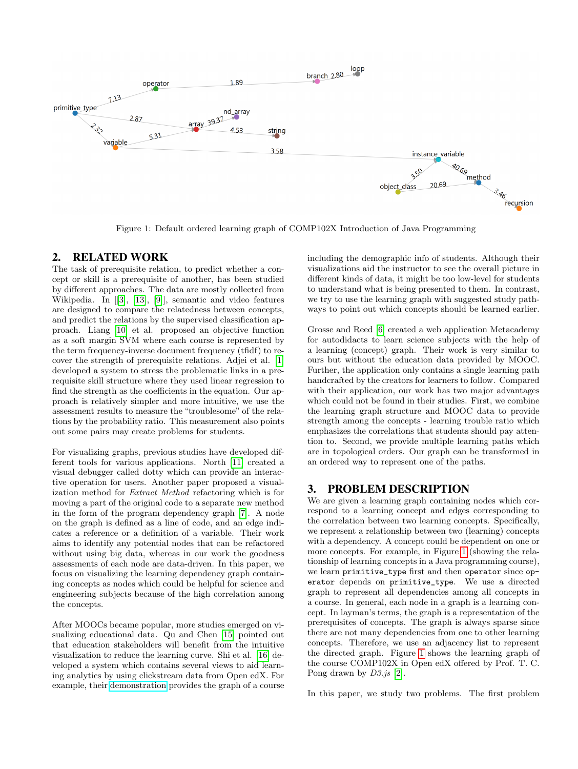<span id="page-1-2"></span>

Figure 1: Default ordered learning graph of COMP102X Introduction of Java Programming

# <span id="page-1-0"></span>2. RELATED WORK

The task of prerequisite relation, to predict whether a concept or skill is a prerequisite of another, has been studied by different approaches. The data are mostly collected from Wikipedia. In [[\[3\]](#page-6-1), [\[13\]](#page-8-0), [\[9\]](#page-8-1)], semantic and video features are designed to compare the relatedness between concepts, and predict the relations by the supervised classification approach. Liang [\[10\]](#page-8-2) et al. proposed an objective function as a soft margin SVM where each course is represented by the term frequency-inverse document frequency (tfidf) to recover the strength of prerequisite relations. Adjei et al. [\[1\]](#page-6-2) developed a system to stress the problematic links in a prerequisite skill structure where they used linear regression to find the strength as the coefficients in the equation. Our approach is relatively simpler and more intuitive, we use the assessment results to measure the "troublesome" of the relations by the probability ratio. This measurement also points out some pairs may create problems for students.

For visualizing graphs, previous studies have developed different tools for various applications. North [\[11\]](#page-8-3) created a visual debugger called dotty which can provide an interactive operation for users. Another paper proposed a visualization method for Extract Method refactoring which is for moving a part of the original code to a separate new method in the form of the program dependency graph [\[7\]](#page-6-3). A node on the graph is defined as a line of code, and an edge indicates a reference or a definition of a variable. Their work aims to identify any potential nodes that can be refactored without using big data, whereas in our work the goodness assessments of each node are data-driven. In this paper, we focus on visualizing the learning dependency graph containing concepts as nodes which could be helpful for science and engineering subjects because of the high correlation among the concepts.

After MOOCs became popular, more studies emerged on visualizing educational data. Qu and Chen [\[15\]](#page-8-4) pointed out that education stakeholders will benefit from the intuitive visualization to reduce the learning curve. Shi et al. [\[16\]](#page-8-5) developed a system which contains several views to aid learning analytics by using clickstream data from Open edX. For example, their [demonstration](http://vis.cse.ust.hk/vismooc/#!/) provides the graph of a course including the demographic info of students. Although their visualizations aid the instructor to see the overall picture in different kinds of data, it might be too low-level for students to understand what is being presented to them. In contrast, we try to use the learning graph with suggested study pathways to point out which concepts should be learned earlier.

Grosse and Reed [\[6\]](#page-6-4) created a web application Metacademy for autodidacts to learn science subjects with the help of a learning (concept) graph. Their work is very similar to ours but without the education data provided by MOOC. Further, the application only contains a single learning path handcrafted by the creators for learners to follow. Compared with their application, our work has two major advantages which could not be found in their studies. First, we combine the learning graph structure and MOOC data to provide strength among the concepts - learning trouble ratio which emphasizes the correlations that students should pay attention to. Second, we provide multiple learning paths which are in topological orders. Our graph can be transformed in an ordered way to represent one of the paths.

### <span id="page-1-1"></span>3. PROBLEM DESCRIPTION

We are given a learning graph containing nodes which correspond to a learning concept and edges corresponding to the correlation between two learning concepts. Specifically, we represent a relationship between two (learning) concepts with a dependency. A concept could be dependent on one or more concepts. For example, in Figure [1](#page-1-2) (showing the relationship of learning concepts in a Java programming course), we learn primitive\_type first and then operator since operator depends on primitive\_type. We use a directed graph to represent all dependencies among all concepts in a course. In general, each node in a graph is a learning concept. In layman's terms, the graph is a representation of the prerequisites of concepts. The graph is always sparse since there are not many dependencies from one to other learning concepts. Therefore, we use an adjacency list to represent the directed graph. Figure [1](#page-1-2) shows the learning graph of the course COMP102X in Open edX offered by Prof. T. C. Pong drawn by  $D3.js$  [\[2\]](#page-6-5).

In this paper, we study two problems. The first problem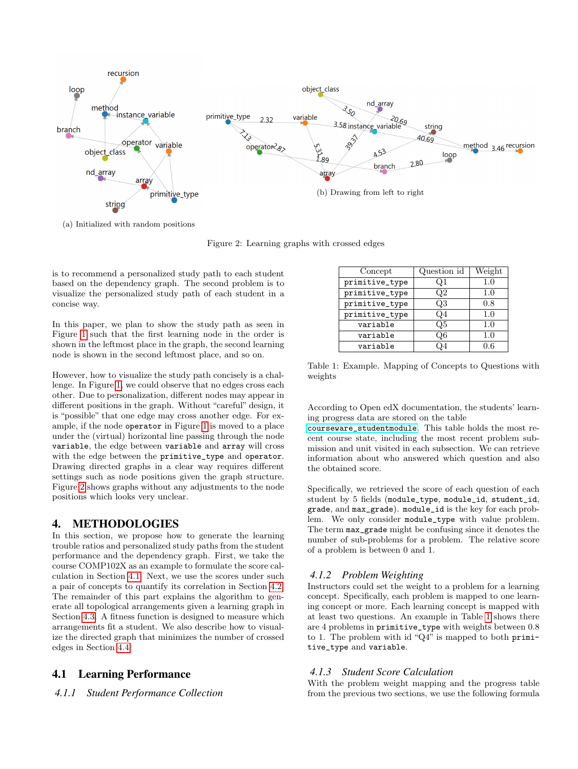<span id="page-2-1"></span>

(a) Initialized with random positions

Figure 2: Learning graphs with crossed edges

is to recommend a personalized study path to each student based on the dependency graph. The second problem is to visualize the personalized study path of each student in a concise way.

In this paper, we plan to show the study path as seen in Figure [1](#page-1-2) such that the first learning node in the order is shown in the leftmost place in the graph, the second learning node is shown in the second leftmost place, and so on.

However, how to visualize the study path concisely is a challenge. In Figure [1,](#page-1-2) we could observe that no edges cross each other. Due to personalization, different nodes may appear in different positions in the graph. Without "careful" design, it is "possible" that one edge may cross another edge. For example, if the node operator in Figure [1](#page-1-2) is moved to a place under the (virtual) horizontal line passing through the node variable, the edge between variable and array will cross with the edge between the primitive\_type and operator. Drawing directed graphs in a clear way requires different settings such as node positions given the graph structure. Figure [2](#page-2-1) shows graphs without any adjustments to the node positions which looks very unclear.

# <span id="page-2-0"></span>4. METHODOLOGIES

In this section, we propose how to generate the learning trouble ratios and personalized study paths from the student performance and the dependency graph. First, we take the course COMP102X as an example to formulate the score calculation in Section [4.1.](#page-2-2) Next, we use the scores under such a pair of concepts to quantify its correlation in Section [4.2.](#page-3-0) The remainder of this part explains the algorithm to generate all topological arrangements given a learning graph in Section [4.3.](#page-3-1) A fitness function is designed to measure which arrangements fit a student. We also describe how to visualize the directed graph that minimizes the number of crossed edges in Section [4.4.](#page-4-2)

# <span id="page-2-2"></span>4.1 Learning Performance

*4.1.1 Student Performance Collection*

<span id="page-2-3"></span>

| Concept        | Question id | Weight |
|----------------|-------------|--------|
| primitive_type | J.I         | 1.0    |
| primitive_type | O2          | 1.0    |
| primitive_type | O3          | 0.8    |
| primitive_type | .)4         | 1.0    |
| variable       | O5          | 1.0    |
| variable       | Э6          | 1.0    |
| variable       |             | ) 6    |

Table 1: Example. Mapping of Concepts to Questions with weights

According to Open edX documentation, the students' learning progress data are stored on the table

[courseware\\_studentmodule](https://edx.readthedocs.io/projects/devdata/en/latest/internal_data_formats/sql_schema.html). This table holds the most recent course state, including the most recent problem submission and unit visited in each subsection. We can retrieve information about who answered which question and also the obtained score.

Specifically, we retrieved the score of each question of each student by 5 fields (module\_type, module\_id, student\_id, grade, and max\_grade). module\_id is the key for each problem. We only consider module\_type with value problem. The term max\_grade might be confusing since it denotes the number of sub-problems for a problem. The relative score of a problem is between 0 and 1.

### *4.1.2 Problem Weighting*

Instructors could set the weight to a problem for a learning concept. Specifically, each problem is mapped to one learning concept or more. Each learning concept is mapped with at least two questions. An example in Table [1](#page-2-3) shows there are 4 problems in primitive\_type with weights between 0.8 to 1. The problem with id "Q4" is mapped to both primitive\_type and variable.

### *4.1.3 Student Score Calculation*

With the problem weight mapping and the progress table from the previous two sections, we use the following formula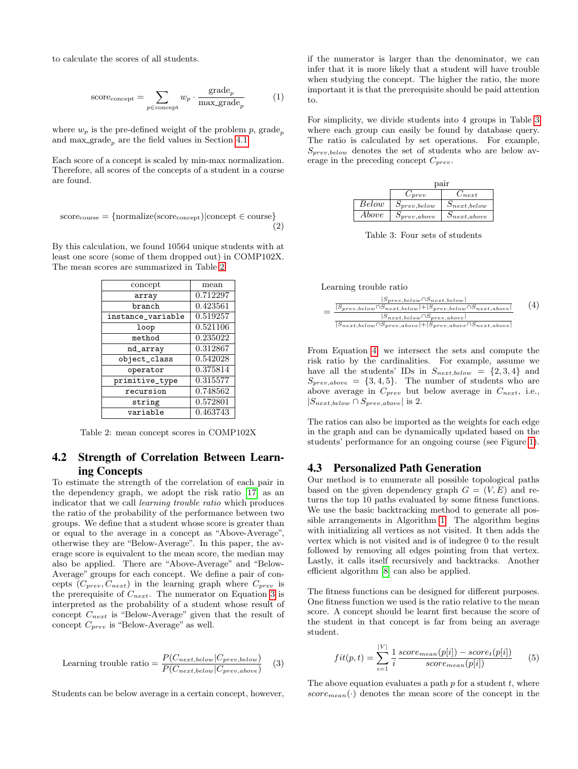to calculate the scores of all students.

score<sub>concept</sub> = 
$$
\sum_{p \in \text{concept}} w_p \cdot \frac{\text{grade}_p}{\max_{\text{grade}_p}} \tag{1}
$$

where  $w_p$  is the pre-defined weight of the problem p, grade<sub>n</sub> and max grade<sub>p</sub> are the field values in Section [4.1.](#page-2-2)

Each score of a concept is scaled by min-max normalization. Therefore, all scores of the concepts of a student in a course are found.

$$
scorecourse = {normalize}(scoreconcept)|concept \in course
$$

$$
(2)
$$

<span id="page-3-2"></span>By this calculation, we found 10564 unique students with at least one score (some of them dropped out) in COMP102X. The mean scores are summarized in Table [2.](#page-3-2)

| concept           | mean     |
|-------------------|----------|
| array             | 0.712297 |
| branch            | 0.423561 |
| instance_variable | 0.519257 |
| loop              | 0.521106 |
| method            | 0.235022 |
| nd_array          | 0.312867 |
| object_class      | 0.542028 |
| operator          | 0.375814 |
| primitive_type    | 0.315577 |
| recursion         | 0.748562 |
| string            | 0.572801 |
| variable          | 0.463743 |

Table 2: mean concept scores in COMP102X

# <span id="page-3-0"></span>4.2 Strength of Correlation Between Learning Concepts

To estimate the strength of the correlation of each pair in the dependency graph, we adopt the risk ratio [\[17\]](#page-8-6) as an indicator that we call learning trouble ratio which produces the ratio of the probability of the performance between two groups. We define that a student whose score is greater than or equal to the average in a concept as "Above-Average", otherwise they are "Below-Average". In this paper, the average score is equivalent to the mean score, the median may also be applied. There are "Above-Average" and "Below-Average" groups for each concept. We define a pair of concepts  $(C_{prev}, C_{next})$  in the learning graph where  $C_{prev}$  is the prerequisite of  $C_{next}$ . The numerator on Equation [3](#page-3-3) is interpreted as the probability of a student whose result of concept  $C_{next}$  is "Below-Average" given that the result of concept  $C_{prev}$  is "Below-Average" as well.

<span id="page-3-3"></span>Learning trouble ratio = 
$$
\frac{P(C_{next,below}|C_{prev,below})}{P(C_{next,below}|C_{prev,above})}
$$
(3)

Students can be below average in a certain concept, however,

if the numerator is larger than the denominator, we can infer that it is more likely that a student will have trouble when studying the concept. The higher the ratio, the more important it is that the prerequisite should be paid attention to.

For simplicity, we divide students into 4 groups in Table [3](#page-3-4) where each group can easily be found by database query. The ratio is calculated by set operations. For example,  $S_{prev,below}$  denotes the set of students who are below average in the preceding concept  $C_{prev}$ .

<span id="page-3-4"></span>

|       | pair              |                   |  |  |  |  |
|-------|-------------------|-------------------|--|--|--|--|
|       | prev              | $\vee$ next       |  |  |  |  |
| Below | $S_{prev,below}$  | $S_{next,below}$  |  |  |  |  |
| Above | $S_{prev, above}$ | $D_{next, above}$ |  |  |  |  |

Table 3: Four sets of students

Learning trouble ratio

<span id="page-3-5"></span>

From Equation [4,](#page-3-5) we intersect the sets and compute the risk ratio by the cardinalities. For example, assume we have all the students' IDs in  $S_{next,below} = \{2,3,4\}$  and  $S_{prev,above} = \{3,4,5\}.$  The number of students who are above average in  $C_{prev}$  but below average in  $C_{next}$ , i.e.,  $|S_{next,below} \cap S_{prev,above}|$  is 2.

The ratios can also be imported as the weights for each edge in the graph and can be dynamically updated based on the students' performance for an ongoing course (see Figure [1\)](#page-1-2).

### <span id="page-3-1"></span>4.3 Personalized Path Generation

Our method is to enumerate all possible topological paths based on the given dependency graph  $G = (V, E)$  and returns the top 10 paths evaluated by some fitness functions. We use the basic backtracking method to generate all possible arrangements in Algorithm [1.](#page-4-3) The algorithm begins with initializing all vertices as not visited. It then adds the vertex which is not visited and is of indegree 0 to the result followed by removing all edges pointing from that vertex. Lastly, it calls itself recursively and backtracks. Another efficient algorithm [\[8\]](#page-6-6) can also be applied.

The fitness functions can be designed for different purposes. One fitness function we used is the ratio relative to the mean score. A concept should be learnt first because the score of the student in that concept is far from being an average student.

$$
fit(p, t) = \sum_{i=1}^{|V|} \frac{1}{i} \frac{score_{mean}(p[i]) - score_t(p[i])}{score_{mean}(p[i])}
$$
(5)

The above equation evaluates a path  $p$  for a student  $t$ , where  $score_{mean}(\cdot)$  denotes the mean score of the concept in the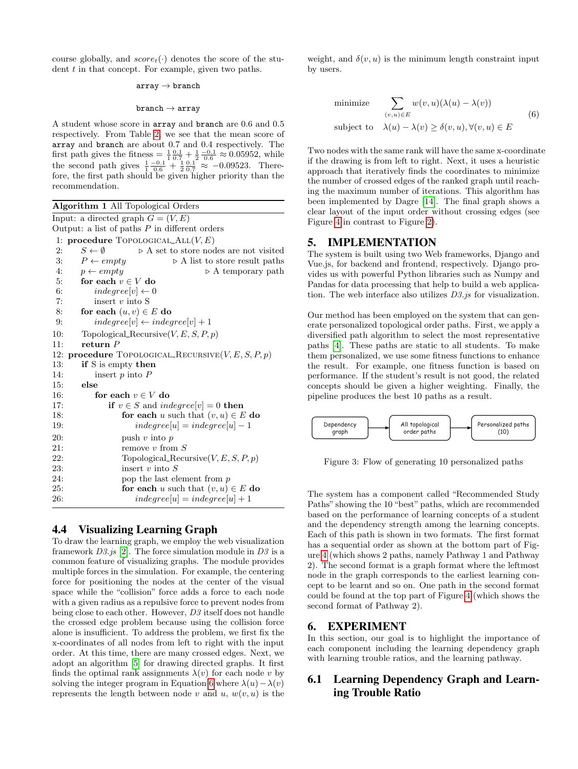course globally, and  $score_t(\cdot)$  denotes the score of the student  $t$  in that concept. For example, given two paths.

#### $array \rightarrow branch$

#### $branch \rightarrow array$

A student whose score in array and branch are 0.6 and 0.5 respectively. From Table [2,](#page-3-2) we see that the mean score of array and branch are about 0.7 and 0.4 respectively. The first path gives the fitness =  $\frac{1}{1} \frac{0.1}{0.7} + \frac{1}{2} \frac{-0.1}{0.6} \approx 0.05952$ , while the second path gives  $\frac{1}{1} \frac{-0.1}{0.6} + \frac{1}{2} \frac{0.1}{0.7} \approx -0.09523$ . Therefore, the first path should be given higher priority than the recommendation.

<span id="page-4-3"></span>

|     | <b>Algorithm 1 All Topological Orders</b>                                         |
|-----|-----------------------------------------------------------------------------------|
|     | Input: a directed graph $G = (V, E)$                                              |
|     | Output: a list of paths $P$ in different orders                                   |
|     | 1: procedure $\text{Topo}$ LOGICAL_ALL $(V, E)$                                   |
| 2:  | $S \leftarrow \emptyset$<br>$\triangleright$ A set to store nodes are not visited |
| 3:  | $P \leftarrow empty$<br>$\triangleright$ A list to store result paths             |
| 4:  | $p \leftarrow empty$<br>$\triangleright$ A temporary path                         |
| 5:  | for each $v \in V$ do                                                             |
| 6:  | $indegree[v] \leftarrow 0$                                                        |
| 7:  | insert $v$ into S                                                                 |
| 8:  | for each $(u, v) \in E$ do                                                        |
| 9:  | $indegree[v] \leftarrow indegree[v] + 1$                                          |
| 10: | Topological_Recursive $(V, E, S, P, p)$                                           |
| 11: | return $P$                                                                        |
| 12: | procedure TOPOLOGICAL_RECURSIVE $(V, E, S, P, p)$                                 |
| 13: | if S is empty then                                                                |
| 14: | insert $p$ into $P$                                                               |
| 15: | else                                                                              |
| 16: | for each $v \in V$ do                                                             |
| 17: | if $v \in S$ and <i>indegree</i> [v] = 0 then                                     |
| 18: | for each u such that $(v, u) \in E$ do                                            |
| 19: | $indegree[u] = indegree[u] - 1$                                                   |
| 20: | push $v$ into $p$                                                                 |
| 21: | remove $v$ from $S$                                                               |
| 22: | Topological_Recursive $(V, E, S, P, p)$                                           |
| 23: | insert $v$ into $S$                                                               |
| 24: | pop the last element from $p$                                                     |
| 25: | for each u such that $(v, u) \in E$ do                                            |
| 26: | $indegree[u] = indegree[u] + 1$                                                   |

### <span id="page-4-2"></span>4.4 Visualizing Learning Graph

To draw the learning graph, we employ the web visualization framework  $D3.$ js [\[2\]](#page-6-5). The force simulation module in  $D3$  is a common feature of visualizing graphs. The module provides multiple forces in the simulation. For example, the centering force for positioning the nodes at the center of the visual space while the "collision" force adds a force to each node with a given radius as a repulsive force to prevent nodes from being close to each other. However, D3 itself does not handle the crossed edge problem because using the collision force alone is insufficient. To address the problem, we first fix the x-coordinates of all nodes from left to right with the input order. At this time, there are many crossed edges. Next, we adopt an algorithm [\[5\]](#page-6-7) for drawing directed graphs. It first finds the optimal rank assignments  $\lambda(v)$  for each node v by solving the integer program in Equation [6](#page-4-4) where  $\lambda(u) - \lambda(v)$ represents the length between node v and u,  $w(v, u)$  is the

weight, and  $\delta(v, u)$  is the minimum length constraint input by users.

<span id="page-4-4"></span>minimize 
$$
\sum_{(v,u)\in E} w(v,u)(\lambda(u) - \lambda(v))
$$
  
subject to 
$$
\lambda(u) - \lambda(v) \ge \delta(v,u), \forall (v,u) \in E
$$
 (6)

Two nodes with the same rank will have the same x-coordinate if the drawing is from left to right. Next, it uses a heuristic approach that iteratively finds the coordinates to minimize the number of crossed edges of the ranked graph until reaching the maximum number of iterations. This algorithm has been implemented by Dagre [\[14\]](#page-8-7). The final graph shows a clear layout of the input order without crossing edges (see Figure [4](#page-6-8) in contrast to Figure [2\)](#page-2-1).

### <span id="page-4-0"></span>5. IMPLEMENTATION

The system is built using two Web frameworks, Django and Vue.js, for backend and frontend, respectively. Django provides us with powerful Python libraries such as Numpy and Pandas for data processing that help to build a web application. The web interface also utilizes D3.js for visualization.

Our method has been employed on the system that can generate personalized topological order paths. First, we apply a diversified path algorithm to select the most representative paths [\[4\]](#page-6-9). These paths are static to all students. To make them personalized, we use some fitness functions to enhance the result. For example, one fitness function is based on performance. If the student's result is not good, the related concepts should be given a higher weighting. Finally, the pipeline produces the best 10 paths as a result.



Figure 3: Flow of generating 10 personalized paths

The system has a component called "Recommended Study Paths" showing the 10 "best" paths, which are recommended based on the performance of learning concepts of a student and the dependency strength among the learning concepts. Each of this path is shown in two formats. The first format has a sequential order as shown at the bottom part of Figure [4](#page-6-8) (which shows 2 paths, namely Pathway 1 and Pathway 2). The second format is a graph format where the leftmost node in the graph corresponds to the earliest learning concept to be learnt and so on. One path in the second format could be found at the top part of Figure [4](#page-6-8) (which shows the second format of Pathway 2).

### <span id="page-4-1"></span>6. EXPERIMENT

In this section, our goal is to highlight the importance of each component including the learning dependency graph with learning trouble ratios, and the learning pathway.

# 6.1 Learning Dependency Graph and Learning Trouble Ratio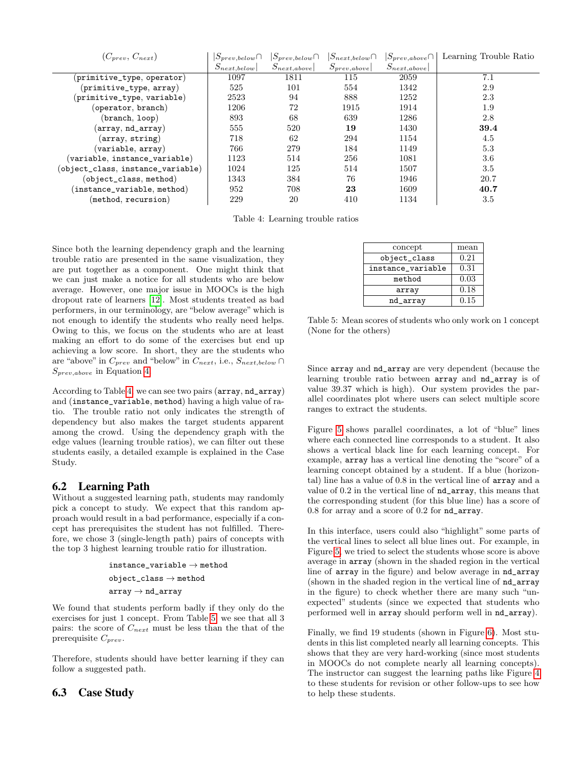<span id="page-5-0"></span>

| $(C_{prev}, C_{next})$                              | $ S_{prev,below}\cap$ | $ S_{prev,below}\cap$ | $ S_{next,below}\cap$ | $ S_{prev, above}\cap$ | Learning Trouble Ratio |
|-----------------------------------------------------|-----------------------|-----------------------|-----------------------|------------------------|------------------------|
|                                                     | $S_{next,below}$      | $S_{next,above}$      | $S_{prev, above}$     | $S_{next,above}$       |                        |
| $(\texttt{primitive\_type}, \texttt{operator})$     | 1097                  | 1811                  | 115                   | 2059                   | 7.1                    |
| $(p$ rimitive_type, $array)$                        | 525                   | 101                   | 554                   | 1342                   | 2.9                    |
| (primitive_type, variable)                          | 2523                  | 94                    | 888                   | 1252                   | 2.3                    |
| (operator, branch)                                  | 1206                  | 72                    | 1915                  | 1914                   | 1.9                    |
| (branch, loop)                                      | 893                   | 68                    | 639                   | 1286                   | 2.8                    |
| (array, nd_array)                                   | 555                   | 520                   | 19                    | 1430                   | 39.4                   |
| $(\texttt{array}, \texttt{string})$                 | 718                   | 62                    | 294                   | 1154                   | 4.5                    |
| $(\mathtt{variable},\,\mathtt{array})$              | 766                   | 279                   | 184                   | 1149                   | 5.3                    |
| $(\mathtt{variable},\ \mathtt{instance\_variable})$ | 1123                  | 514                   | 256                   | 1081                   | 3.6                    |
| (object_class, instance_variable)                   | 1024                  | 125                   | 514                   | 1507                   | 3.5                    |
| (object_class, method)                              | 1343                  | 384                   | 76                    | 1946                   | 20.7                   |
| $(\mathtt{instance\_variable}, \mathtt{method})$    | 952                   | 708                   | 23                    | 1609                   | 40.7                   |
| (method, recursion)                                 | 229                   | 20                    | 410                   | 1134                   | 3.5                    |

Table 4: Learning trouble ratios

Since both the learning dependency graph and the learning trouble ratio are presented in the same visualization, they are put together as a component. One might think that we can just make a notice for all students who are below average. However, one major issue in MOOCs is the high dropout rate of learners [\[12\]](#page-8-8). Most students treated as bad performers, in our terminology, are "below average" which is not enough to identify the students who really need helps. Owing to this, we focus on the students who are at least making an effort to do some of the exercises but end up achieving a low score. In short, they are the students who are "above" in  $C_{prev}$  and "below" in  $C_{next}$ , i.e.,  $S_{next,below}$  $S_{prev,above}$  in Equation [4.](#page-3-5)

According to Table [4,](#page-5-0) we can see two pairs (array, nd\_array) and (instance\_variable, method) having a high value of ratio. The trouble ratio not only indicates the strength of dependency but also makes the target students apparent among the crowd. Using the dependency graph with the edge values (learning trouble ratios), we can filter out these students easily, a detailed example is explained in the Case Study.

# 6.2 Learning Path

Without a suggested learning path, students may randomly pick a concept to study. We expect that this random approach would result in a bad performance, especially if a concept has prerequisites the student has not fulfilled. Therefore, we chose 3 (single-length path) pairs of concepts with the top 3 highest learning trouble ratio for illustration.

```
{\tt instance\_variable} \rightarrow {\tt method}object\_class \rightarrow methodarray \rightarrow nd\_array
```
We found that students perform badly if they only do the exercises for just 1 concept. From Table [5,](#page-5-1) we see that all 3 pairs: the score of  $C_{next}$  must be less than the that of the prerequisite  $C_{prev}$ .

Therefore, students should have better learning if they can follow a suggested path.

# 6.3 Case Study

<span id="page-5-1"></span>

| mean |
|------|
| 0.21 |
| 0.31 |
| 0.03 |
| 0.18 |
| 0.15 |
|      |

Table 5: Mean scores of students who only work on 1 concept (None for the others)

Since array and nd\_array are very dependent (because the learning trouble ratio between array and nd\_array is of value 39.37 which is high). Our system provides the parallel coordinates plot where users can select multiple score ranges to extract the students.

Figure [5](#page-7-0) shows parallel coordinates, a lot of "blue" lines where each connected line corresponds to a student. It also shows a vertical black line for each learning concept. For example, array has a vertical line denoting the "score" of a learning concept obtained by a student. If a blue (horizontal) line has a value of 0.8 in the vertical line of array and a value of 0.2 in the vertical line of nd\_array, this means that the corresponding student (for this blue line) has a score of 0.8 for array and a score of 0.2 for nd\_array.

In this interface, users could also "highlight" some parts of the vertical lines to select all blue lines out. For example, in Figure [5,](#page-7-0) we tried to select the students whose score is above average in array (shown in the shaded region in the vertical line of array in the figure) and below average in nd\_array (shown in the shaded region in the vertical line of nd\_array in the figure) to check whether there are many such "unexpected" students (since we expected that students who performed well in array should perform well in nd\_array).

Finally, we find 19 students (shown in Figure [6\)](#page-7-1). Most students in this list completed nearly all learning concepts. This shows that they are very hard-working (since most students in MOOCs do not complete nearly all learning concepts). The instructor can suggest the learning paths like Figure [4](#page-6-8) to these students for revision or other follow-ups to see how to help these students.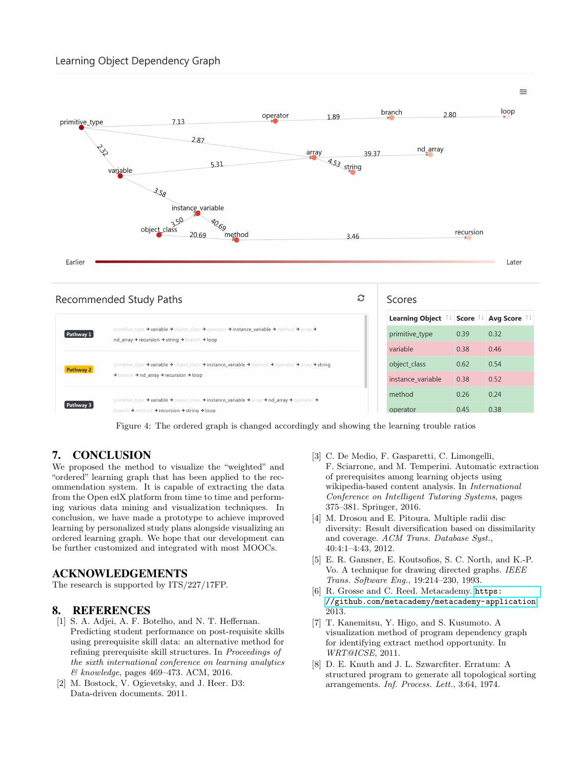<span id="page-6-8"></span>

| c<br>Recommended Study Paths |                                                                                                                                                                                                                                                                                 |  | Scores                 |                    |             |  |
|------------------------------|---------------------------------------------------------------------------------------------------------------------------------------------------------------------------------------------------------------------------------------------------------------------------------|--|------------------------|--------------------|-------------|--|
|                              |                                                                                                                                                                                                                                                                                 |  | <b>Learning Object</b> | Score <sup>1</sup> | Avg Score 1 |  |
| Pathway 1                    | primitive_type $\rightarrow$ variable $\rightarrow$ object_class $\rightarrow$ operator $\rightarrow$ instance_variable $\rightarrow$ method $\rightarrow$ array $\rightarrow$<br>nd_array → recursion → string → branch → loop                                                 |  | primitive_type         | 0.39               | 0.32        |  |
|                              |                                                                                                                                                                                                                                                                                 |  | variable               | 0.38               | 0.46        |  |
| Pathway 2                    | primitive_type $\rightarrow$ variable $\rightarrow$ object_class $\rightarrow$ instance_variable $\rightarrow$ method $\rightarrow$ operator $\rightarrow$ array $\rightarrow$ string<br>$\rightarrow$ branch $\rightarrow$ nd array $\rightarrow$ recursion $\rightarrow$ loop |  | object class           | 0.62               | 0.54        |  |
|                              |                                                                                                                                                                                                                                                                                 |  | instance variable      | 0.38               | 0.52        |  |
|                              | primitive_type $\rightarrow$ variable $\rightarrow$ object_class $\rightarrow$ instance_variable $\rightarrow$ array $\rightarrow$ nd_array $\rightarrow$ operator $\rightarrow$                                                                                                |  | method                 | 0.26               | 0.24        |  |
| Pathway 3                    | branch $\rightarrow$ method $\rightarrow$ recursion $\rightarrow$ string $\rightarrow$ loop                                                                                                                                                                                     |  | operator               | 0.45               | 0.38        |  |

Figure 4: The ordered graph is changed accordingly and showing the learning trouble ratios

# <span id="page-6-0"></span>7. CONCLUSION

We proposed the method to visualize the "weighted" and "ordered" learning graph that has been applied to the recommendation system. It is capable of extracting the data from the Open edX platform from time to time and performing various data mining and visualization techniques. In conclusion, we have made a prototype to achieve improved learning by personalized study plans alongside visualizing an ordered learning graph. We hope that our development can be further customized and integrated with most MOOCs.

# ACKNOWLEDGEMENTS

The research is supported by ITS/227/17FP.

# 8. REFERENCES

- <span id="page-6-2"></span>[1] S. A. Adjei, A. F. Botelho, and N. T. Heffernan. Predicting student performance on post-requisite skills using prerequisite skill data: an alternative method for refining prerequisite skill structures. In Proceedings of the sixth international conference on learning analytics & knowledge, pages 469–473. ACM, 2016.
- <span id="page-6-5"></span>[2] M. Bostock, V. Ogievetsky, and J. Heer. D3: Data-driven documents. 2011.
- <span id="page-6-1"></span>[3] C. De Medio, F. Gasparetti, C. Limongelli, F. Sciarrone, and M. Temperini. Automatic extraction of prerequisites among learning objects using wikipedia-based content analysis. In International Conference on Intelligent Tutoring Systems, pages 375–381. Springer, 2016.
- <span id="page-6-9"></span>[4] M. Drosou and E. Pitoura. Multiple radii disc diversity: Result diversification based on dissimilarity and coverage. ACM Trans. Database Syst., 40:4:1–4:43, 2012.
- <span id="page-6-7"></span>[5] E. R. Gansner, E. Koutsofios, S. C. North, and K.-P. Vo. A technique for drawing directed graphs. IEEE Trans. Software Eng., 19:214–230, 1993.
- <span id="page-6-4"></span>[6] R. Grosse and C. Reed. Metacademy. [https:](https://github.com/metacademy/metacademy-application) [//github.com/metacademy/metacademy-application](https://github.com/metacademy/metacademy-application), 2013.
- <span id="page-6-3"></span>[7] T. Kanemitsu, Y. Higo, and S. Kusumoto. A visualization method of program dependency graph for identifying extract method opportunity. In WRT@ICSE, 2011.
- <span id="page-6-6"></span>[8] D. E. Knuth and J. L. Szwarcfiter. Erratum: A structured program to generate all topological sorting arrangements. Inf. Process. Lett., 3:64, 1974.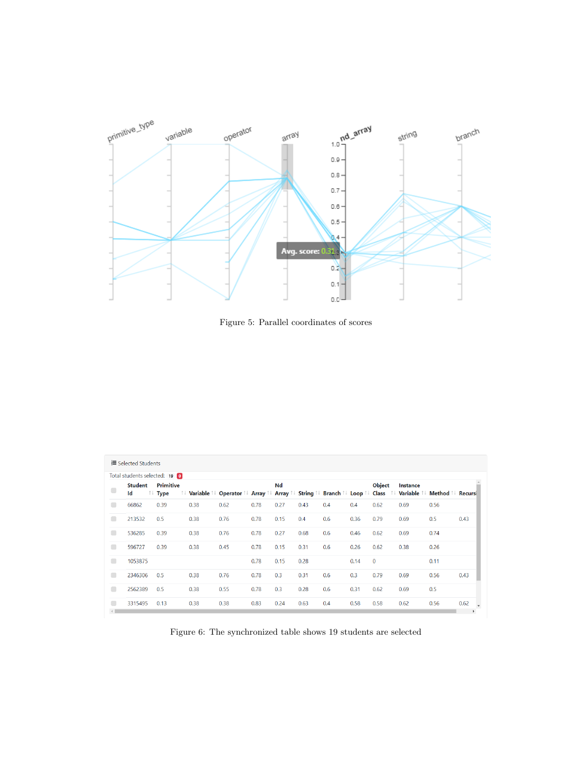<span id="page-7-0"></span>

Figure 5: Parallel coordinates of scores

<span id="page-7-1"></span>

|                | Total students selected: 19 0 |                            |      |                                                                                                              |      |      |      |     |      |               |          |      |      |
|----------------|-------------------------------|----------------------------|------|--------------------------------------------------------------------------------------------------------------|------|------|------|-----|------|---------------|----------|------|------|
| $\Box$         | <b>Student</b><br>Id          | Primitive<br>↑↓ Type<br>ΛU |      | Variable î↓ Operator î↓ Array î↓ Array î↓ String î↓ Branch î↓ Loop î↓ Class î↓ Variable î↓ Method î↓ Recursi |      | Nd   |      |     |      | <b>Object</b> | Instance |      |      |
| $\blacksquare$ | 66862                         | 0.39                       | 0.38 | 0.62                                                                                                         | 0.78 | 0.27 | 0.43 | 0.4 | 0.4  | 0.62          | 0.69     | 0.56 |      |
| $\blacksquare$ | 213532                        | 0.5                        | 0.38 | 0.76                                                                                                         | 0.78 | 0.15 | 0.4  | 0.6 | 0.36 | 0.79          | 0.69     | 0.5  | 0.43 |
| $\blacksquare$ | 536285                        | 0.39                       | 0.38 | 0.76                                                                                                         | 0.78 | 0.27 | 0.68 | 0.6 | 0.46 | 0.62          | 0.69     | 0.74 |      |
| O              | 596727                        | 0.39                       | 0.38 | 0.45                                                                                                         | 0.78 | 0.15 | 0.31 | 0.6 | 0.26 | 0.62          | 0.38     | 0.26 |      |
| $\Box$         | 1053875                       |                            |      |                                                                                                              | 0.78 | 0.15 | 0.28 |     | 0.14 | $\mathbf{0}$  |          | 0.11 |      |
| $\blacksquare$ | 2346306                       | 0.5                        | 0.38 | 0.76                                                                                                         | 0.78 | 0.3  | 0.31 | 0.6 | 0.3  | 0.79          | 0.69     | 0.56 | 0.43 |
| $\blacksquare$ | 2562389                       | 0.5                        | 0.38 | 0.55                                                                                                         | 0.78 | 0.3  | 0.28 | 0.6 | 0.31 | 0.62          | 0.69     | 0.5  |      |
| œ              | 3315495                       | 0.13                       | 0.38 | 0.38                                                                                                         | 0.83 | 0.24 | 0.63 | 0.4 | 0.58 | 0.58          | 0.62     | 0.56 | 0.62 |

Figure 6: The synchronized table shows 19 students are selected